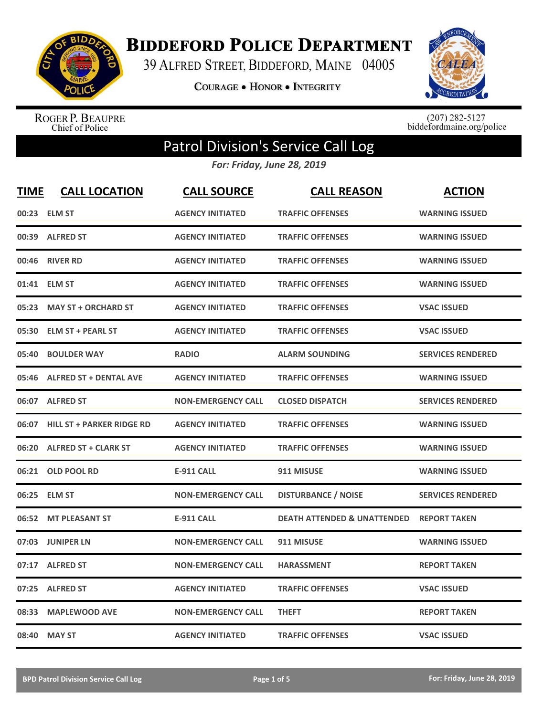

**BIDDEFORD POLICE DEPARTMENT** 

39 ALFRED STREET, BIDDEFORD, MAINE 04005

COURAGE . HONOR . INTEGRITY



ROGER P. BEAUPRE<br>Chief of Police

 $(207)$  282-5127<br>biddefordmaine.org/police

## Patrol Division's Service Call Log

*For: Friday, June 28, 2019*

| <b>TIME</b> | <b>CALL LOCATION</b>             | <b>CALL SOURCE</b>        | <b>CALL REASON</b>                     | <b>ACTION</b>            |
|-------------|----------------------------------|---------------------------|----------------------------------------|--------------------------|
|             | 00:23 ELM ST                     | <b>AGENCY INITIATED</b>   | <b>TRAFFIC OFFENSES</b>                | <b>WARNING ISSUED</b>    |
|             | 00:39 ALFRED ST                  | <b>AGENCY INITIATED</b>   | <b>TRAFFIC OFFENSES</b>                | <b>WARNING ISSUED</b>    |
| 00:46       | <b>RIVER RD</b>                  | <b>AGENCY INITIATED</b>   | <b>TRAFFIC OFFENSES</b>                | <b>WARNING ISSUED</b>    |
|             | 01:41 ELM ST                     | <b>AGENCY INITIATED</b>   | <b>TRAFFIC OFFENSES</b>                | <b>WARNING ISSUED</b>    |
| 05:23       | <b>MAY ST + ORCHARD ST</b>       | <b>AGENCY INITIATED</b>   | <b>TRAFFIC OFFENSES</b>                | <b>VSAC ISSUED</b>       |
| 05:30       | <b>ELM ST + PEARL ST</b>         | <b>AGENCY INITIATED</b>   | <b>TRAFFIC OFFENSES</b>                | <b>VSAC ISSUED</b>       |
| 05:40       | <b>BOULDER WAY</b>               | <b>RADIO</b>              | <b>ALARM SOUNDING</b>                  | <b>SERVICES RENDERED</b> |
| 05:46       | <b>ALFRED ST + DENTAL AVE</b>    | <b>AGENCY INITIATED</b>   | <b>TRAFFIC OFFENSES</b>                | <b>WARNING ISSUED</b>    |
|             | 06:07 ALFRED ST                  | <b>NON-EMERGENCY CALL</b> | <b>CLOSED DISPATCH</b>                 | <b>SERVICES RENDERED</b> |
| 06:07       | <b>HILL ST + PARKER RIDGE RD</b> | <b>AGENCY INITIATED</b>   | <b>TRAFFIC OFFENSES</b>                | <b>WARNING ISSUED</b>    |
|             | 06:20 ALFRED ST + CLARK ST       | <b>AGENCY INITIATED</b>   | <b>TRAFFIC OFFENSES</b>                | <b>WARNING ISSUED</b>    |
|             | 06:21 OLD POOL RD                | <b>E-911 CALL</b>         | 911 MISUSE                             | <b>WARNING ISSUED</b>    |
| 06:25       | <b>ELM ST</b>                    | <b>NON-EMERGENCY CALL</b> | <b>DISTURBANCE / NOISE</b>             | <b>SERVICES RENDERED</b> |
| 06:52       | <b>MT PLEASANT ST</b>            | <b>E-911 CALL</b>         | <b>DEATH ATTENDED &amp; UNATTENDED</b> | <b>REPORT TAKEN</b>      |
| 07:03       | <b>JUNIPER LN</b>                | <b>NON-EMERGENCY CALL</b> | 911 MISUSE                             | <b>WARNING ISSUED</b>    |
| 07:17       | <b>ALFRED ST</b>                 | <b>NON-EMERGENCY CALL</b> | <b>HARASSMENT</b>                      | <b>REPORT TAKEN</b>      |
| 07:25       | <b>ALFRED ST</b>                 | <b>AGENCY INITIATED</b>   | <b>TRAFFIC OFFENSES</b>                | <b>VSAC ISSUED</b>       |
| 08:33       | <b>MAPLEWOOD AVE</b>             | <b>NON-EMERGENCY CALL</b> | <b>THEFT</b>                           | <b>REPORT TAKEN</b>      |
|             | 08:40 MAY ST                     | <b>AGENCY INITIATED</b>   | <b>TRAFFIC OFFENSES</b>                | <b>VSAC ISSUED</b>       |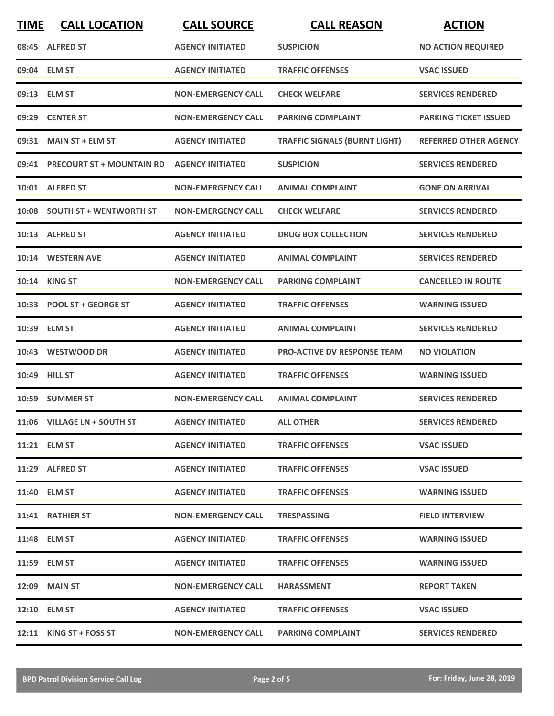| <b>TIME</b> | <b>CALL LOCATION</b>            | <b>CALL SOURCE</b>        | <b>CALL REASON</b>                   | <b>ACTION</b>                |
|-------------|---------------------------------|---------------------------|--------------------------------------|------------------------------|
|             | 08:45 ALFRED ST                 | <b>AGENCY INITIATED</b>   | <b>SUSPICION</b>                     | <b>NO ACTION REQUIRED</b>    |
|             | 09:04 ELM ST                    | <b>AGENCY INITIATED</b>   | <b>TRAFFIC OFFENSES</b>              | <b>VSAC ISSUED</b>           |
|             | 09:13 ELM ST                    | <b>NON-EMERGENCY CALL</b> | <b>CHECK WELFARE</b>                 | <b>SERVICES RENDERED</b>     |
|             | 09:29 CENTER ST                 | <b>NON-EMERGENCY CALL</b> | <b>PARKING COMPLAINT</b>             | <b>PARKING TICKET ISSUED</b> |
|             | 09:31 MAIN ST + ELM ST          | <b>AGENCY INITIATED</b>   | <b>TRAFFIC SIGNALS (BURNT LIGHT)</b> | <b>REFERRED OTHER AGENCY</b> |
|             | 09:41 PRECOURT ST + MOUNTAIN RD | <b>AGENCY INITIATED</b>   | <b>SUSPICION</b>                     | <b>SERVICES RENDERED</b>     |
|             | 10:01 ALFRED ST                 | <b>NON-EMERGENCY CALL</b> | <b>ANIMAL COMPLAINT</b>              | <b>GONE ON ARRIVAL</b>       |
|             | 10:08 SOUTH ST + WENTWORTH ST   | <b>NON-EMERGENCY CALL</b> | <b>CHECK WELFARE</b>                 | <b>SERVICES RENDERED</b>     |
|             | 10:13 ALFRED ST                 | <b>AGENCY INITIATED</b>   | <b>DRUG BOX COLLECTION</b>           | <b>SERVICES RENDERED</b>     |
|             | 10:14 WESTERN AVE               | <b>AGENCY INITIATED</b>   | <b>ANIMAL COMPLAINT</b>              | <b>SERVICES RENDERED</b>     |
|             | 10:14 KING ST                   | <b>NON-EMERGENCY CALL</b> | <b>PARKING COMPLAINT</b>             | <b>CANCELLED IN ROUTE</b>    |
|             | 10:33 POOL ST + GEORGE ST       | <b>AGENCY INITIATED</b>   | <b>TRAFFIC OFFENSES</b>              | <b>WARNING ISSUED</b>        |
|             | 10:39 ELM ST                    | <b>AGENCY INITIATED</b>   | <b>ANIMAL COMPLAINT</b>              | <b>SERVICES RENDERED</b>     |
|             | 10:43 WESTWOOD DR               | <b>AGENCY INITIATED</b>   | <b>PRO-ACTIVE DV RESPONSE TEAM</b>   | <b>NO VIOLATION</b>          |
|             | 10:49 HILL ST                   | <b>AGENCY INITIATED</b>   | <b>TRAFFIC OFFENSES</b>              | <b>WARNING ISSUED</b>        |
|             | 10:59 SUMMER ST                 | <b>NON-EMERGENCY CALL</b> | <b>ANIMAL COMPLAINT</b>              | <b>SERVICES RENDERED</b>     |
|             | 11:06 VILLAGE LN + SOUTH ST     | <b>AGENCY INITIATED</b>   | <b>ALL OTHER</b>                     | <b>SERVICES RENDERED</b>     |
|             | 11:21 ELM ST                    | <b>AGENCY INITIATED</b>   | <b>TRAFFIC OFFENSES</b>              | <b>VSAC ISSUED</b>           |
|             | 11:29 ALFRED ST                 | <b>AGENCY INITIATED</b>   | <b>TRAFFIC OFFENSES</b>              | <b>VSAC ISSUED</b>           |
|             | 11:40 ELM ST                    | <b>AGENCY INITIATED</b>   | <b>TRAFFIC OFFENSES</b>              | <b>WARNING ISSUED</b>        |
|             | 11:41 RATHIER ST                | <b>NON-EMERGENCY CALL</b> | <b>TRESPASSING</b>                   | <b>FIELD INTERVIEW</b>       |
|             | 11:48 ELM ST                    | <b>AGENCY INITIATED</b>   | <b>TRAFFIC OFFENSES</b>              | <b>WARNING ISSUED</b>        |
|             | 11:59 ELM ST                    | <b>AGENCY INITIATED</b>   | <b>TRAFFIC OFFENSES</b>              | <b>WARNING ISSUED</b>        |
|             | 12:09 MAIN ST                   | <b>NON-EMERGENCY CALL</b> | <b>HARASSMENT</b>                    | <b>REPORT TAKEN</b>          |
|             | 12:10 ELM ST                    | <b>AGENCY INITIATED</b>   | <b>TRAFFIC OFFENSES</b>              | <b>VSAC ISSUED</b>           |
|             | $12:11$ KING ST + FOSS ST       | <b>NON-EMERGENCY CALL</b> | <b>PARKING COMPLAINT</b>             | <b>SERVICES RENDERED</b>     |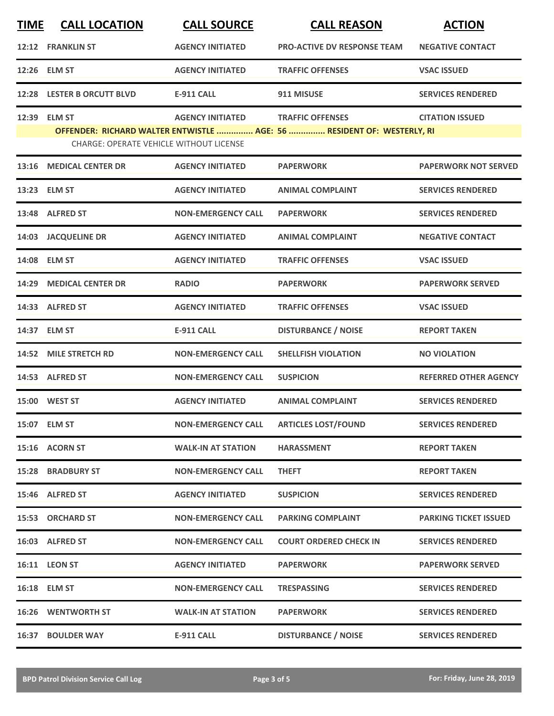| <b>TIME</b> | <b>CALL LOCATION</b>                           | <b>CALL SOURCE</b>        | <b>CALL REASON</b>                                                     | <b>ACTION</b>                |
|-------------|------------------------------------------------|---------------------------|------------------------------------------------------------------------|------------------------------|
|             | 12:12 FRANKLIN ST                              | <b>AGENCY INITIATED</b>   | <b>PRO-ACTIVE DV RESPONSE TEAM</b>                                     | <b>NEGATIVE CONTACT</b>      |
|             | 12:26 ELM ST                                   | <b>AGENCY INITIATED</b>   | <b>TRAFFIC OFFENSES</b>                                                | <b>VSAC ISSUED</b>           |
|             | 12:28 LESTER B ORCUTT BLVD                     | <b>E-911 CALL</b>         | 911 MISUSE                                                             | <b>SERVICES RENDERED</b>     |
| 12:39       | <b>ELM ST</b>                                  | <b>AGENCY INITIATED</b>   | <b>TRAFFIC OFFENSES</b>                                                | <b>CITATION ISSUED</b>       |
|             | <b>CHARGE: OPERATE VEHICLE WITHOUT LICENSE</b> |                           | OFFENDER: RICHARD WALTER ENTWISTLE  AGE: 56  RESIDENT OF: WESTERLY, RI |                              |
| 13:16       | <b>MEDICAL CENTER DR</b>                       | <b>AGENCY INITIATED</b>   | <b>PAPERWORK</b>                                                       | <b>PAPERWORK NOT SERVED</b>  |
|             | 13:23 ELM ST                                   | <b>AGENCY INITIATED</b>   | <b>ANIMAL COMPLAINT</b>                                                | <b>SERVICES RENDERED</b>     |
|             | 13:48 ALFRED ST                                | <b>NON-EMERGENCY CALL</b> | <b>PAPERWORK</b>                                                       | <b>SERVICES RENDERED</b>     |
| 14:03       | <b>JACQUELINE DR</b>                           | <b>AGENCY INITIATED</b>   | <b>ANIMAL COMPLAINT</b>                                                | <b>NEGATIVE CONTACT</b>      |
|             | 14:08 ELM ST                                   | <b>AGENCY INITIATED</b>   | <b>TRAFFIC OFFENSES</b>                                                | <b>VSAC ISSUED</b>           |
|             | 14:29 MEDICAL CENTER DR                        | <b>RADIO</b>              | <b>PAPERWORK</b>                                                       | <b>PAPERWORK SERVED</b>      |
|             | 14:33 ALFRED ST                                | <b>AGENCY INITIATED</b>   | <b>TRAFFIC OFFENSES</b>                                                | <b>VSAC ISSUED</b>           |
|             | 14:37 ELM ST                                   | <b>E-911 CALL</b>         | <b>DISTURBANCE / NOISE</b>                                             | <b>REPORT TAKEN</b>          |
|             | 14:52 MILE STRETCH RD                          | <b>NON-EMERGENCY CALL</b> | <b>SHELLFISH VIOLATION</b>                                             | <b>NO VIOLATION</b>          |
|             | 14:53 ALFRED ST                                | <b>NON-EMERGENCY CALL</b> | <b>SUSPICION</b>                                                       | <b>REFERRED OTHER AGENCY</b> |
|             | <b>15:00 WEST ST</b>                           | <b>AGENCY INITIATED</b>   | <b>ANIMAL COMPLAINT</b>                                                | <b>SERVICES RENDERED</b>     |
|             | 15:07 ELM ST                                   | <b>NON-EMERGENCY CALL</b> | <b>ARTICLES LOST/FOUND</b>                                             | <b>SERVICES RENDERED</b>     |
|             | 15:16 ACORN ST                                 | <b>WALK-IN AT STATION</b> | <b>HARASSMENT</b>                                                      | <b>REPORT TAKEN</b>          |
|             | <b>15:28 BRADBURY ST</b>                       | <b>NON-EMERGENCY CALL</b> | <b>THEFT</b>                                                           | <b>REPORT TAKEN</b>          |
|             | 15:46 ALFRED ST                                | <b>AGENCY INITIATED</b>   | <b>SUSPICION</b>                                                       | <b>SERVICES RENDERED</b>     |
|             | 15:53 ORCHARD ST                               | <b>NON-EMERGENCY CALL</b> | <b>PARKING COMPLAINT</b>                                               | <b>PARKING TICKET ISSUED</b> |
|             | 16:03 ALFRED ST                                | <b>NON-EMERGENCY CALL</b> | <b>COURT ORDERED CHECK IN</b>                                          | <b>SERVICES RENDERED</b>     |
|             | <b>16:11 LEON ST</b>                           | <b>AGENCY INITIATED</b>   | <b>PAPERWORK</b>                                                       | <b>PAPERWORK SERVED</b>      |
|             | 16:18 ELM ST                                   | <b>NON-EMERGENCY CALL</b> | <b>TRESPASSING</b>                                                     | <b>SERVICES RENDERED</b>     |
|             | <b>16:26 WENTWORTH ST</b>                      | <b>WALK-IN AT STATION</b> | <b>PAPERWORK</b>                                                       | <b>SERVICES RENDERED</b>     |
| 16:37       | <b>BOULDER WAY</b>                             | <b>E-911 CALL</b>         | <b>DISTURBANCE / NOISE</b>                                             | <b>SERVICES RENDERED</b>     |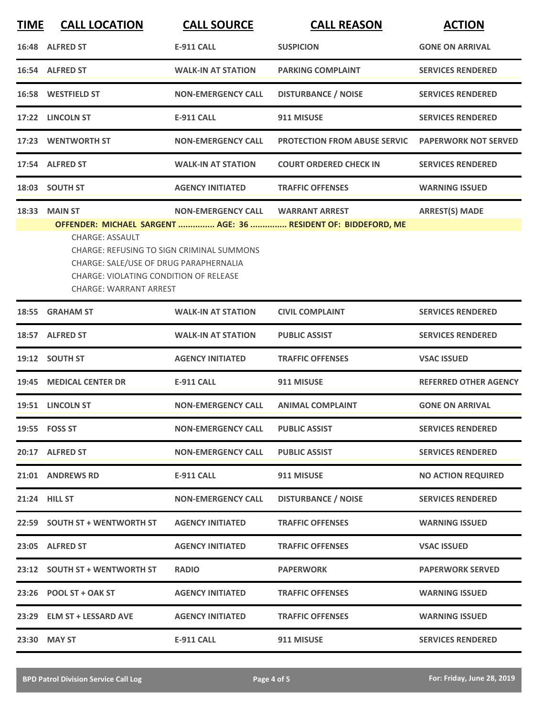| <b>TIME</b> | <b>CALL LOCATION</b>                                                                                                                                                                                   | <b>CALL SOURCE</b>        | <b>CALL REASON</b>                                                                      | <b>ACTION</b>                |
|-------------|--------------------------------------------------------------------------------------------------------------------------------------------------------------------------------------------------------|---------------------------|-----------------------------------------------------------------------------------------|------------------------------|
|             | 16:48 ALFRED ST                                                                                                                                                                                        | <b>E-911 CALL</b>         | <b>SUSPICION</b>                                                                        | <b>GONE ON ARRIVAL</b>       |
|             | 16:54 ALFRED ST                                                                                                                                                                                        | <b>WALK-IN AT STATION</b> | <b>PARKING COMPLAINT</b>                                                                | <b>SERVICES RENDERED</b>     |
|             | 16:58 WESTFIELD ST                                                                                                                                                                                     | <b>NON-EMERGENCY CALL</b> | <b>DISTURBANCE / NOISE</b>                                                              | <b>SERVICES RENDERED</b>     |
| 17:22       | <b>LINCOLN ST</b>                                                                                                                                                                                      | <b>E-911 CALL</b>         | 911 MISUSE                                                                              | <b>SERVICES RENDERED</b>     |
|             | 17:23 WENTWORTH ST                                                                                                                                                                                     | <b>NON-EMERGENCY CALL</b> | <b>PROTECTION FROM ABUSE SERVIC</b>                                                     | <b>PAPERWORK NOT SERVED</b>  |
|             | 17:54 ALFRED ST                                                                                                                                                                                        | <b>WALK-IN AT STATION</b> | <b>COURT ORDERED CHECK IN</b>                                                           | <b>SERVICES RENDERED</b>     |
|             | 18:03 SOUTH ST                                                                                                                                                                                         | <b>AGENCY INITIATED</b>   | <b>TRAFFIC OFFENSES</b>                                                                 | <b>WARNING ISSUED</b>        |
| 18:33       | <b>MAIN ST</b>                                                                                                                                                                                         | <b>NON-EMERGENCY CALL</b> | <b>WARRANT ARREST</b><br>OFFENDER: MICHAEL SARGENT  AGE: 36  RESIDENT OF: BIDDEFORD, ME | <b>ARREST(S) MADE</b>        |
|             | <b>CHARGE: ASSAULT</b><br><b>CHARGE: REFUSING TO SIGN CRIMINAL SUMMONS</b><br>CHARGE: SALE/USE OF DRUG PARAPHERNALIA<br><b>CHARGE: VIOLATING CONDITION OF RELEASE</b><br><b>CHARGE: WARRANT ARREST</b> |                           |                                                                                         |                              |
| 18:55       | <b>GRAHAM ST</b>                                                                                                                                                                                       | <b>WALK-IN AT STATION</b> | <b>CIVIL COMPLAINT</b>                                                                  | <b>SERVICES RENDERED</b>     |
| 18:57       | <b>ALFRED ST</b>                                                                                                                                                                                       | <b>WALK-IN AT STATION</b> | <b>PUBLIC ASSIST</b>                                                                    | <b>SERVICES RENDERED</b>     |
| 19:12       | <b>SOUTH ST</b>                                                                                                                                                                                        | <b>AGENCY INITIATED</b>   | <b>TRAFFIC OFFENSES</b>                                                                 | <b>VSAC ISSUED</b>           |
| 19:45       | <b>MEDICAL CENTER DR</b>                                                                                                                                                                               | <b>E-911 CALL</b>         | 911 MISUSE                                                                              | <b>REFERRED OTHER AGENCY</b> |
| 19:51       | <b>LINCOLN ST</b>                                                                                                                                                                                      | <b>NON-EMERGENCY CALL</b> | <b>ANIMAL COMPLAINT</b>                                                                 | <b>GONE ON ARRIVAL</b>       |
|             | 19:55 FOSS ST                                                                                                                                                                                          | <b>NON-EMERGENCY CALL</b> | <b>PUBLIC ASSIST</b>                                                                    | <b>SERVICES RENDERED</b>     |
|             | 20:17 ALFRED ST                                                                                                                                                                                        | <b>NON-EMERGENCY CALL</b> | <b>PUBLIC ASSIST</b>                                                                    | <b>SERVICES RENDERED</b>     |
|             | 21:01 ANDREWS RD                                                                                                                                                                                       | <b>E-911 CALL</b>         | 911 MISUSE                                                                              | <b>NO ACTION REQUIRED</b>    |
|             | 21:24 HILL ST                                                                                                                                                                                          | <b>NON-EMERGENCY CALL</b> | <b>DISTURBANCE / NOISE</b>                                                              | <b>SERVICES RENDERED</b>     |
|             | 22:59 SOUTH ST + WENTWORTH ST                                                                                                                                                                          | <b>AGENCY INITIATED</b>   | <b>TRAFFIC OFFENSES</b>                                                                 | <b>WARNING ISSUED</b>        |
|             | 23:05 ALFRED ST                                                                                                                                                                                        | <b>AGENCY INITIATED</b>   | <b>TRAFFIC OFFENSES</b>                                                                 | <b>VSAC ISSUED</b>           |
|             | 23:12 SOUTH ST + WENTWORTH ST                                                                                                                                                                          | <b>RADIO</b>              | <b>PAPERWORK</b>                                                                        | <b>PAPERWORK SERVED</b>      |
|             | 23:26 POOL ST + OAK ST                                                                                                                                                                                 | <b>AGENCY INITIATED</b>   | <b>TRAFFIC OFFENSES</b>                                                                 | <b>WARNING ISSUED</b>        |
|             | 23:29 ELM ST + LESSARD AVE                                                                                                                                                                             | <b>AGENCY INITIATED</b>   | <b>TRAFFIC OFFENSES</b>                                                                 | <b>WARNING ISSUED</b>        |
|             | 23:30 MAY ST                                                                                                                                                                                           | <b>E-911 CALL</b>         | 911 MISUSE                                                                              | <b>SERVICES RENDERED</b>     |